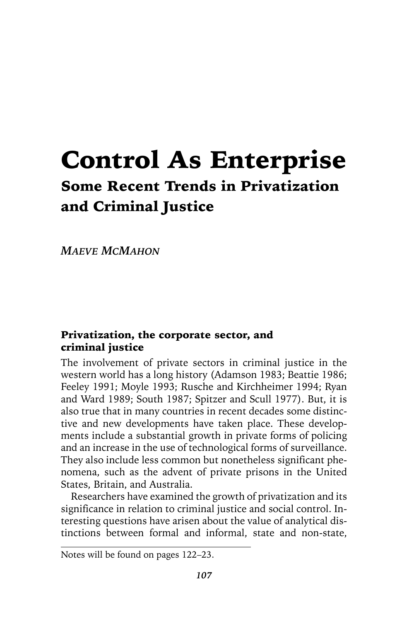# Control As Enterprise Some Recent Trends in Privatization and Criminal Justice

*MAEVE MCMAHON*

#### Privatization, the corporate sector, and criminal justice

The involvement of private sectors in criminal justice in the western world has a long history (Adamson 1983; Beattie 1986; Feeley 1991; Moyle 1993; Rusche and Kirchheimer 1994; Ryan and Ward 1989; South 1987; Spitzer and Scull 1977). But, it is also true that in many countries in recent decades some distinctive and new developments have taken place. These developments include a substantial growth in private forms of policing and an increase in the use of technological forms of surveillance. They also include less common but nonetheless significant phenomena, such as the advent of private prisons in the United States, Britain, and Australia.

Researchers have examined the growth of privatization and its significance in relation to criminal justice and social control. Interesting questions have arisen about the value of analytical distinctions between formal and informal, state and non-state,

Notes will be found on pages 122–23.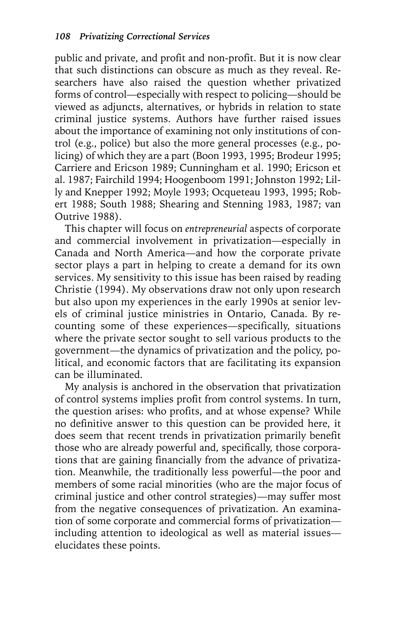public and private, and profit and non-profit. But it is now clear that such distinctions can obscure as much as they reveal. Researchers have also raised the question whether privatized forms of control—especially with respect to policing—should be viewed as adjuncts, alternatives, or hybrids in relation to state criminal justice systems. Authors have further raised issues about the importance of examining not only institutions of control (e.g., police) but also the more general processes (e.g., policing) of which they are a part (Boon 1993, 1995; Brodeur 1995; Carriere and Ericson 1989; Cunningham et al. 1990; Ericson et al. 1987; Fairchild 1994; Hoogenboom 1991; Johnston 1992; Lilly and Knepper 1992; Moyle 1993; Ocqueteau 1993, 1995; Robert 1988; South 1988; Shearing and Stenning 1983, 1987; van Outrive 1988).

This chapter will focus on *entrepreneurial* aspects of corporate and commercial involvement in privatization—especially in Canada and North America—and how the corporate private sector plays a part in helping to create a demand for its own services. My sensitivity to this issue has been raised by reading Christie (1994). My observations draw not only upon research but also upon my experiences in the early 1990s at senior levels of criminal justice ministries in Ontario, Canada. By recounting some of these experiences—specifically, situations where the private sector sought to sell various products to the government—the dynamics of privatization and the policy, political, and economic factors that are facilitating its expansion can be illuminated.

My analysis is anchored in the observation that privatization of control systems implies profit from control systems. In turn, the question arises: who profits, and at whose expense? While no definitive answer to this question can be provided here, it does seem that recent trends in privatization primarily benefit those who are already powerful and, specifically, those corporations that are gaining financially from the advance of privatization. Meanwhile, the traditionally less powerful—the poor and members of some racial minorities (who are the major focus of criminal justice and other control strategies)—may suffer most from the negative consequences of privatization. An examination of some corporate and commercial forms of privatization including attention to ideological as well as material issues elucidates these points.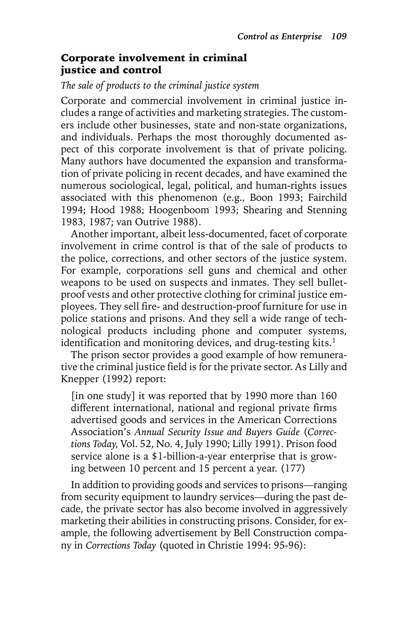#### Corporate involvement in criminal justice and control

#### *The sale of products to the criminal justice system*

Corporate and commercial involvement in criminal justice includes a range of activities and marketing strategies. The customers include other businesses, state and non-state organizations, and individuals. Perhaps the most thoroughly documented aspect of this corporate involvement is that of private policing. Many authors have documented the expansion and transformation of private policing in recent decades, and have examined the numerous sociological, legal, political, and human-rights issues associated with this phenomenon (e.g., Boon 1993; Fairchild 1994; Hood 1988; Hoogenboom 1993; Shearing and Stenning 1983, 1987; van Outrive 1988).

Another important, albeit less-documented, facet of corporate involvement in crime control is that of the sale of products to the police, corrections, and other sectors of the justice system. For example, corporations sell guns and chemical and other weapons to be used on suspects and inmates. They sell bulletproof vests and other protective clothing for criminal justice employees. They sell fire- and destruction-proof furniture for use in police stations and prisons. And they sell a wide range of technological products including phone and computer systems, identification and monitoring devices, and drug-testing kits. $1$ 

The prison sector provides a good example of how remunerative the criminal justice field is for the private sector. As Lilly and Knepper (1992) report:

[in one study] it was reported that by 1990 more than 160 different international, national and regional private firms advertised goods and services in the American Corrections Association's *Annual Security Issue and Buyers Guide* (*Corrections Today*, Vol. 52, No. 4, July 1990; Lilly 1991). Prison food service alone is a \$1-billion-a-year enterprise that is growing between 10 percent and 15 percent a year. (177)

In addition to providing goods and services to prisons—ranging from security equipment to laundry services—during the past decade, the private sector has also become involved in aggressively marketing their abilities in constructing prisons. Consider, for example, the following advertisement by Bell Construction company in *Corrections Today* (quoted in Christie 1994: 95-96):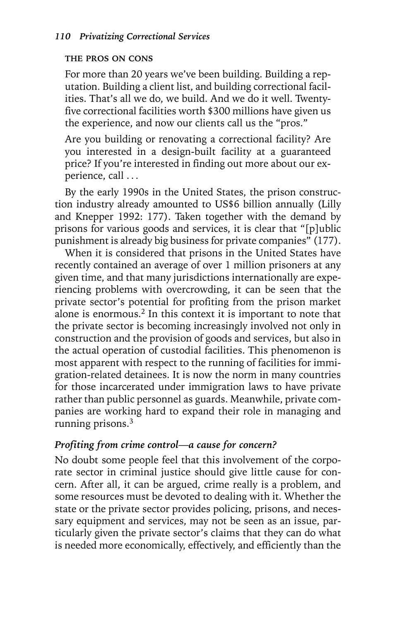#### **THE PROS ON CONS**

For more than 20 years we've been building. Building a reputation. Building a client list, and building correctional facilities. That's all we do, we build. And we do it well. Twentyfive correctional facilities worth \$300 millions have given us the experience, and now our clients call us the "pros."

Are you building or renovating a correctional facility? Are you interested in a design-built facility at a guaranteed price? If you're interested in finding out more about our experience, call . . .

By the early 1990s in the United States, the prison construction industry already amounted to US\$6 billion annually (Lilly and Knepper 1992: 177). Taken together with the demand by prisons for various goods and services, it is clear that "[p]ublic punishment is already big business for private companies" (177).

When it is considered that prisons in the United States have recently contained an average of over 1 million prisoners at any given time, and that many jurisdictions internationally are experiencing problems with overcrowding, it can be seen that the private sector's potential for profiting from the prison market alone is enormous.2 In this context it is important to note that the private sector is becoming increasingly involved not only in construction and the provision of goods and services, but also in the actual operation of custodial facilities. This phenomenon is most apparent with respect to the running of facilities for immigration-related detainees. It is now the norm in many countries for those incarcerated under immigration laws to have private rather than public personnel as guards. Meanwhile, private companies are working hard to expand their role in managing and running prisons. $3$ 

#### *Profiting from crime control—a cause for concern?*

No doubt some people feel that this involvement of the corporate sector in criminal justice should give little cause for concern. After all, it can be argued, crime really is a problem, and some resources must be devoted to dealing with it. Whether the state or the private sector provides policing, prisons, and necessary equipment and services, may not be seen as an issue, particularly given the private sector's claims that they can do what is needed more economically, effectively, and efficiently than the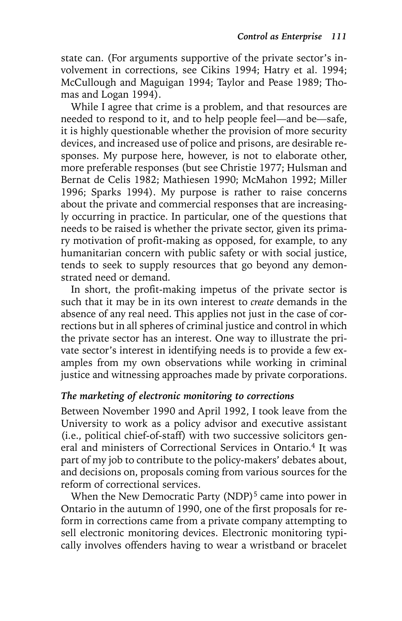state can. (For arguments supportive of the private sector's involvement in corrections, see Cikins 1994; Hatry et al. 1994; McCullough and Maguigan 1994; Taylor and Pease 1989; Thomas and Logan 1994).

While I agree that crime is a problem, and that resources are needed to respond to it, and to help people feel—and be—safe, it is highly questionable whether the provision of more security devices, and increased use of police and prisons, are desirable responses. My purpose here, however, is not to elaborate other, more preferable responses (but see Christie 1977; Hulsman and Bernat de Celis 1982; Mathiesen 1990; McMahon 1992; Miller 1996; Sparks 1994). My purpose is rather to raise concerns about the private and commercial responses that are increasingly occurring in practice. In particular, one of the questions that needs to be raised is whether the private sector, given its primary motivation of profit-making as opposed, for example, to any humanitarian concern with public safety or with social justice, tends to seek to supply resources that go beyond any demonstrated need or demand.

In short, the profit-making impetus of the private sector is such that it may be in its own interest to *create* demands in the absence of any real need. This applies not just in the case of corrections but in all spheres of criminal justice and control in which the private sector has an interest. One way to illustrate the private sector's interest in identifying needs is to provide a few examples from my own observations while working in criminal justice and witnessing approaches made by private corporations.

#### *The marketing of electronic monitoring to corrections*

Between November 1990 and April 1992, I took leave from the University to work as a policy advisor and executive assistant (i.e., political chief-of-staff) with two successive solicitors general and ministers of Correctional Services in Ontario.<sup>4</sup> It was part of my job to contribute to the policy-makers' debates about, and decisions on, proposals coming from various sources for the reform of correctional services.

When the New Democratic Party (NDP)<sup>5</sup> came into power in Ontario in the autumn of 1990, one of the first proposals for reform in corrections came from a private company attempting to sell electronic monitoring devices. Electronic monitoring typically involves offenders having to wear a wristband or bracelet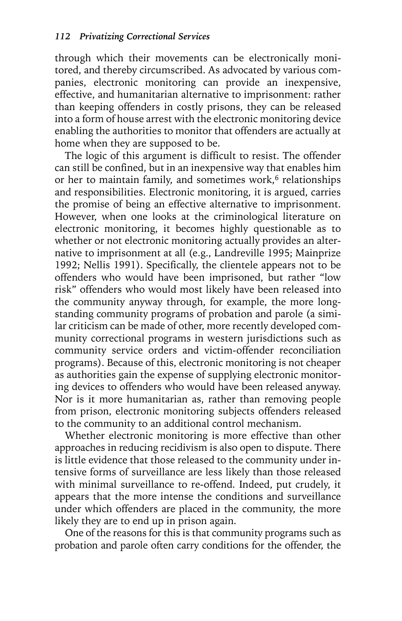through which their movements can be electronically monitored, and thereby circumscribed. As advocated by various companies, electronic monitoring can provide an inexpensive, effective, and humanitarian alternative to imprisonment: rather than keeping offenders in costly prisons, they can be released into a form of house arrest with the electronic monitoring device enabling the authorities to monitor that offenders are actually at home when they are supposed to be.

The logic of this argument is difficult to resist. The offender can still be confined, but in an inexpensive way that enables him or her to maintain family, and sometimes work, $6$  relationships and responsibilities. Electronic monitoring, it is argued, carries the promise of being an effective alternative to imprisonment. However, when one looks at the criminological literature on electronic monitoring, it becomes highly questionable as to whether or not electronic monitoring actually provides an alternative to imprisonment at all (e.g., Landreville 1995; Mainprize 1992; Nellis 1991). Specifically, the clientele appears not to be offenders who would have been imprisoned, but rather "low risk" offenders who would most likely have been released into the community anyway through, for example, the more longstanding community programs of probation and parole (a similar criticism can be made of other, more recently developed community correctional programs in western jurisdictions such as community service orders and victim-offender reconciliation programs). Because of this, electronic monitoring is not cheaper as authorities gain the expense of supplying electronic monitoring devices to offenders who would have been released anyway. Nor is it more humanitarian as, rather than removing people from prison, electronic monitoring subjects offenders released to the community to an additional control mechanism.

Whether electronic monitoring is more effective than other approaches in reducing recidivism is also open to dispute. There is little evidence that those released to the community under intensive forms of surveillance are less likely than those released with minimal surveillance to re-offend. Indeed, put crudely, it appears that the more intense the conditions and surveillance under which offenders are placed in the community, the more likely they are to end up in prison again.

One of the reasons for this is that community programs such as probation and parole often carry conditions for the offender, the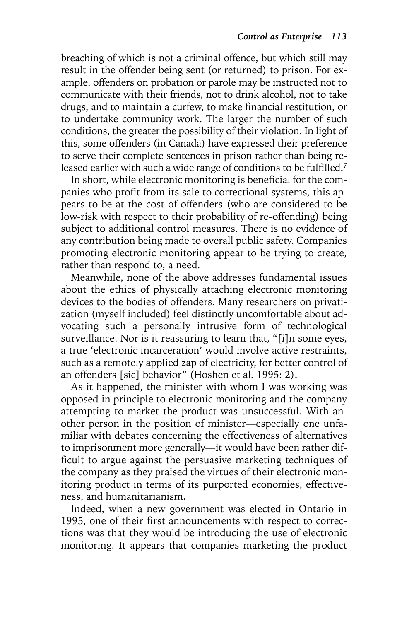breaching of which is not a criminal offence, but which still may result in the offender being sent (or returned) to prison. For example, offenders on probation or parole may be instructed not to communicate with their friends, not to drink alcohol, not to take drugs, and to maintain a curfew, to make financial restitution, or to undertake community work. The larger the number of such conditions, the greater the possibility of their violation. In light of this, some offenders (in Canada) have expressed their preference to serve their complete sentences in prison rather than being released earlier with such a wide range of conditions to be fulfilled.<sup>7</sup>

In short, while electronic monitoring is beneficial for the companies who profit from its sale to correctional systems, this appears to be at the cost of offenders (who are considered to be low-risk with respect to their probability of re-offending) being subject to additional control measures. There is no evidence of any contribution being made to overall public safety. Companies promoting electronic monitoring appear to be trying to create, rather than respond to, a need.

Meanwhile, none of the above addresses fundamental issues about the ethics of physically attaching electronic monitoring devices to the bodies of offenders. Many researchers on privatization (myself included) feel distinctly uncomfortable about advocating such a personally intrusive form of technological surveillance. Nor is it reassuring to learn that, "[i]n some eyes, a true 'electronic incarceration' would involve active restraints, such as a remotely applied zap of electricity, for better control of an offenders [sic] behavior" (Hoshen et al. 1995: 2).

As it happened, the minister with whom I was working was opposed in principle to electronic monitoring and the company attempting to market the product was unsuccessful. With another person in the position of minister—especially one unfamiliar with debates concerning the effectiveness of alternatives to imprisonment more generally—it would have been rather difficult to argue against the persuasive marketing techniques of the company as they praised the virtues of their electronic monitoring product in terms of its purported economies, effectiveness, and humanitarianism.

Indeed, when a new government was elected in Ontario in 1995, one of their first announcements with respect to corrections was that they would be introducing the use of electronic monitoring. It appears that companies marketing the product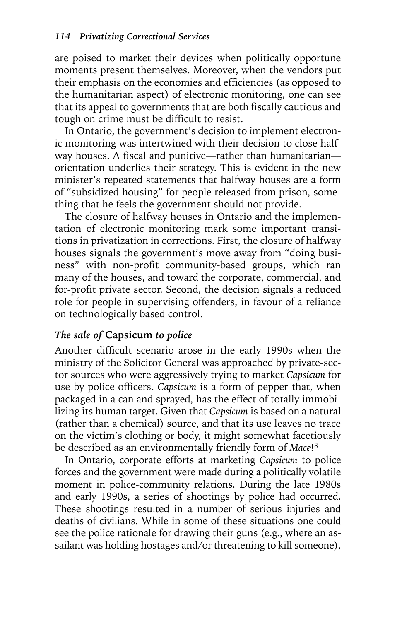are poised to market their devices when politically opportune moments present themselves. Moreover, when the vendors put their emphasis on the economies and efficiencies (as opposed to the humanitarian aspect) of electronic monitoring, one can see that its appeal to governments that are both fiscally cautious and tough on crime must be difficult to resist.

In Ontario, the government's decision to implement electronic monitoring was intertwined with their decision to close halfway houses. A fiscal and punitive—rather than humanitarian orientation underlies their strategy. This is evident in the new minister's repeated statements that halfway houses are a form of "subsidized housing" for people released from prison, something that he feels the government should not provide.

The closure of halfway houses in Ontario and the implementation of electronic monitoring mark some important transitions in privatization in corrections. First, the closure of halfway houses signals the government's move away from "doing business" with non-profit community-based groups, which ran many of the houses, and toward the corporate, commercial, and for-profit private sector. Second, the decision signals a reduced role for people in supervising offenders, in favour of a reliance on technologically based control.

#### *The sale of* **Capsicum** *to police*

Another difficult scenario arose in the early 1990s when the ministry of the Solicitor General was approached by private-sector sources who were aggressively trying to market *Capsicum* for use by police officers. *Capsicum* is a form of pepper that, when packaged in a can and sprayed, has the effect of totally immobilizing its human target. Given that *Capsicum* is based on a natural (rather than a chemical) source, and that its use leaves no trace on the victim's clothing or body, it might somewhat facetiously be described as an environmentally friendly form of *Mace*!8

In Ontario, corporate efforts at marketing *Capsicum* to police forces and the government were made during a politically volatile moment in police-community relations. During the late 1980s and early 1990s, a series of shootings by police had occurred. These shootings resulted in a number of serious injuries and deaths of civilians. While in some of these situations one could see the police rationale for drawing their guns (e.g., where an assailant was holding hostages and/or threatening to kill someone),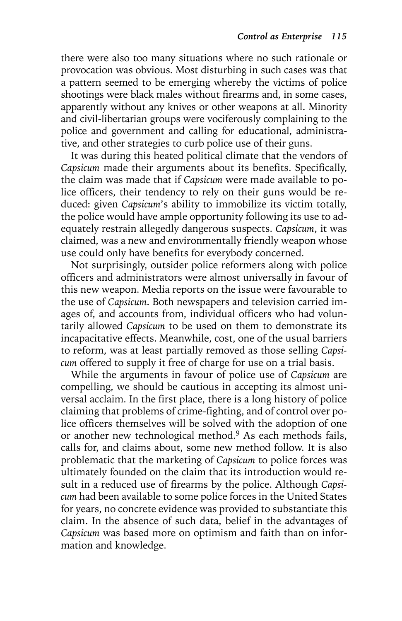there were also too many situations where no such rationale or provocation was obvious. Most disturbing in such cases was that a pattern seemed to be emerging whereby the victims of police shootings were black males without firearms and, in some cases, apparently without any knives or other weapons at all. Minority and civil-libertarian groups were vociferously complaining to the police and government and calling for educational, administrative, and other strategies to curb police use of their guns.

It was during this heated political climate that the vendors of *Capsicum* made their arguments about its benefits. Specifically, the claim was made that if *Capsicum* were made available to police officers, their tendency to rely on their guns would be reduced: given *Capsicum*'s ability to immobilize its victim totally, the police would have ample opportunity following its use to adequately restrain allegedly dangerous suspects. *Capsicum*, it was claimed, was a new and environmentally friendly weapon whose use could only have benefits for everybody concerned.

Not surprisingly, outsider police reformers along with police officers and administrators were almost universally in favour of this new weapon. Media reports on the issue were favourable to the use of *Capsicum*. Both newspapers and television carried images of, and accounts from, individual officers who had voluntarily allowed *Capsicum* to be used on them to demonstrate its incapacitative effects. Meanwhile, cost, one of the usual barriers to reform, was at least partially removed as those selling *Capsicum* offered to supply it free of charge for use on a trial basis.

While the arguments in favour of police use of *Capsicum* are compelling, we should be cautious in accepting its almost universal acclaim. In the first place, there is a long history of police claiming that problems of crime-fighting, and of control over police officers themselves will be solved with the adoption of one or another new technological method.9 As each methods fails, calls for, and claims about, some new method follow. It is also problematic that the marketing of *Capsicum* to police forces was ultimately founded on the claim that its introduction would result in a reduced use of firearms by the police. Although *Capsicum* had been available to some police forces in the United States for years, no concrete evidence was provided to substantiate this claim. In the absence of such data, belief in the advantages of *Capsicum* was based more on optimism and faith than on information and knowledge.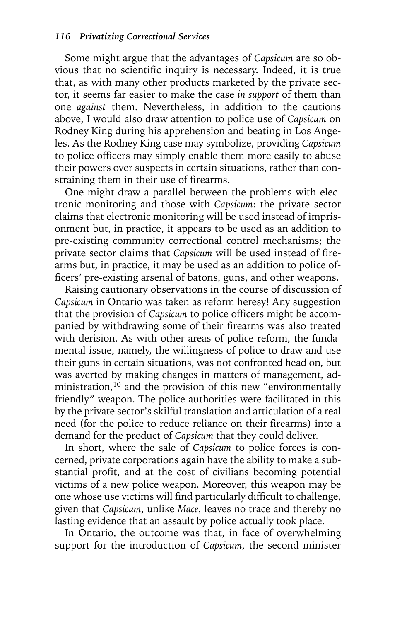Some might argue that the advantages of *Capsicum* are so obvious that no scientific inquiry is necessary. Indeed, it is true that, as with many other products marketed by the private sector, it seems far easier to make the case *in support* of them than one *against* them. Nevertheless, in addition to the cautions above, I would also draw attention to police use of *Capsicum* on Rodney King during his apprehension and beating in Los Angeles. As the Rodney King case may symbolize, providing *Capsicum* to police officers may simply enable them more easily to abuse their powers over suspects in certain situations, rather than constraining them in their use of firearms.

One might draw a parallel between the problems with electronic monitoring and those with *Capsicum*: the private sector claims that electronic monitoring will be used instead of imprisonment but, in practice, it appears to be used as an addition to pre-existing community correctional control mechanisms; the private sector claims that *Capsicum* will be used instead of firearms but, in practice, it may be used as an addition to police officers' pre-existing arsenal of batons, guns, and other weapons.

Raising cautionary observations in the course of discussion of *Capsicum* in Ontario was taken as reform heresy! Any suggestion that the provision of *Capsicum* to police officers might be accompanied by withdrawing some of their firearms was also treated with derision. As with other areas of police reform, the fundamental issue, namely, the willingness of police to draw and use their guns in certain situations, was not confronted head on, but was averted by making changes in matters of management, administration, $10$  and the provision of this new "environmentally friendly" weapon. The police authorities were facilitated in this by the private sector's skilful translation and articulation of a real need (for the police to reduce reliance on their firearms) into a demand for the product of *Capsicum* that they could deliver.

In short, where the sale of *Capsicum* to police forces is concerned, private corporations again have the ability to make a substantial profit, and at the cost of civilians becoming potential victims of a new police weapon. Moreover, this weapon may be one whose use victims will find particularly difficult to challenge, given that *Capsicum*, unlike *Mace*, leaves no trace and thereby no lasting evidence that an assault by police actually took place.

In Ontario, the outcome was that, in face of overwhelming support for the introduction of *Capsicum*, the second minister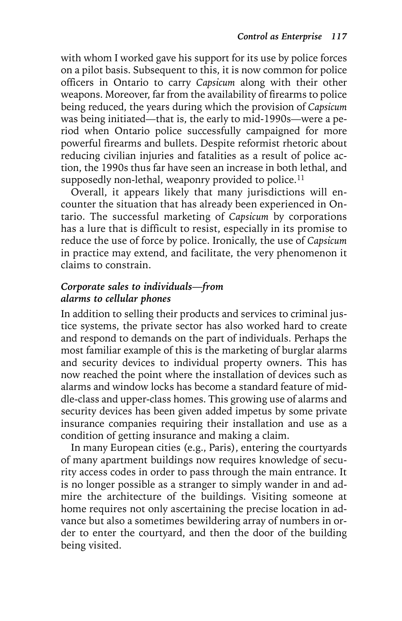with whom I worked gave his support for its use by police forces on a pilot basis. Subsequent to this, it is now common for police officers in Ontario to carry *Capsicum* along with their other weapons. Moreover, far from the availability of firearms to police being reduced, the years during which the provision of *Capsicum* was being initiated—that is, the early to mid-1990s—were a period when Ontario police successfully campaigned for more powerful firearms and bullets. Despite reformist rhetoric about reducing civilian injuries and fatalities as a result of police action, the 1990s thus far have seen an increase in both lethal, and supposedly non-lethal, weaponry provided to police.<sup>11</sup>

Overall, it appears likely that many jurisdictions will encounter the situation that has already been experienced in Ontario. The successful marketing of *Capsicum* by corporations has a lure that is difficult to resist, especially in its promise to reduce the use of force by police. Ironically, the use of *Capsicum* in practice may extend, and facilitate, the very phenomenon it claims to constrain.

#### *Corporate sales to individuals—from alarms to cellular phones*

In addition to selling their products and services to criminal justice systems, the private sector has also worked hard to create and respond to demands on the part of individuals. Perhaps the most familiar example of this is the marketing of burglar alarms and security devices to individual property owners. This has now reached the point where the installation of devices such as alarms and window locks has become a standard feature of middle-class and upper-class homes. This growing use of alarms and security devices has been given added impetus by some private insurance companies requiring their installation and use as a condition of getting insurance and making a claim.

In many European cities (e.g., Paris), entering the courtyards of many apartment buildings now requires knowledge of security access codes in order to pass through the main entrance. It is no longer possible as a stranger to simply wander in and admire the architecture of the buildings. Visiting someone at home requires not only ascertaining the precise location in advance but also a sometimes bewildering array of numbers in order to enter the courtyard, and then the door of the building being visited.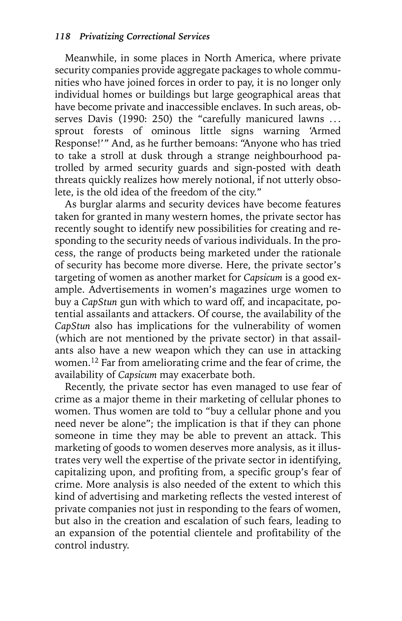Meanwhile, in some places in North America, where private security companies provide aggregate packages to whole communities who have joined forces in order to pay, it is no longer only individual homes or buildings but large geographical areas that have become private and inaccessible enclaves. In such areas, observes Davis (1990: 250) the "carefully manicured lawns ... sprout forests of ominous little signs warning 'Armed Response!'" And, as he further bemoans: "Anyone who has tried to take a stroll at dusk through a strange neighbourhood patrolled by armed security guards and sign-posted with death threats quickly realizes how merely notional, if not utterly obsolete, is the old idea of the freedom of the city."

As burglar alarms and security devices have become features taken for granted in many western homes, the private sector has recently sought to identify new possibilities for creating and responding to the security needs of various individuals. In the process, the range of products being marketed under the rationale of security has become more diverse. Here, the private sector's targeting of women as another market for *Capsicum* is a good example. Advertisements in women's magazines urge women to buy a *CapStun* gun with which to ward off, and incapacitate, potential assailants and attackers. Of course, the availability of the *CapStun* also has implications for the vulnerability of women (which are not mentioned by the private sector) in that assailants also have a new weapon which they can use in attacking women.12 Far from ameliorating crime and the fear of crime, the availability of *Capsicum* may exacerbate both.

Recently, the private sector has even managed to use fear of crime as a major theme in their marketing of cellular phones to women. Thus women are told to "buy a cellular phone and you need never be alone"; the implication is that if they can phone someone in time they may be able to prevent an attack. This marketing of goods to women deserves more analysis, as it illustrates very well the expertise of the private sector in identifying, capitalizing upon, and profiting from, a specific group's fear of crime. More analysis is also needed of the extent to which this kind of advertising and marketing reflects the vested interest of private companies not just in responding to the fears of women, but also in the creation and escalation of such fears, leading to an expansion of the potential clientele and profitability of the control industry.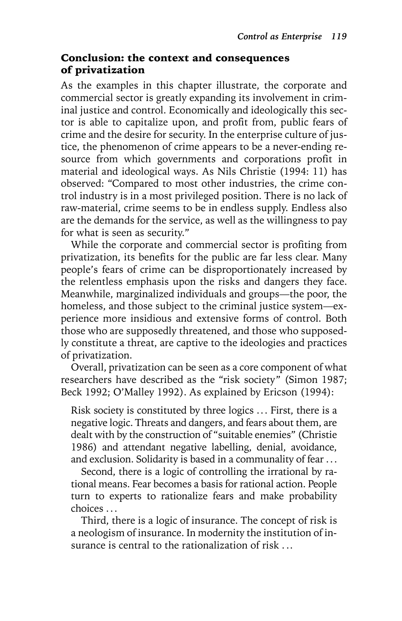#### Conclusion: the context and consequences of privatization

As the examples in this chapter illustrate, the corporate and commercial sector is greatly expanding its involvement in criminal justice and control. Economically and ideologically this sector is able to capitalize upon, and profit from, public fears of crime and the desire for security. In the enterprise culture of justice, the phenomenon of crime appears to be a never-ending resource from which governments and corporations profit in material and ideological ways. As Nils Christie (1994: 11) has observed: "Compared to most other industries, the crime control industry is in a most privileged position. There is no lack of raw-material, crime seems to be in endless supply. Endless also are the demands for the service, as well as the willingness to pay for what is seen as security."

While the corporate and commercial sector is profiting from privatization, its benefits for the public are far less clear. Many people's fears of crime can be disproportionately increased by the relentless emphasis upon the risks and dangers they face. Meanwhile, marginalized individuals and groups—the poor, the homeless, and those subject to the criminal justice system—experience more insidious and extensive forms of control. Both those who are supposedly threatened, and those who supposedly constitute a threat, are captive to the ideologies and practices of privatization.

Overall, privatization can be seen as a core component of what researchers have described as the "risk society" (Simon 1987; Beck 1992; O'Malley 1992). As explained by Ericson (1994):

Risk society is constituted by three logics ... First, there is a negative logic. Threats and dangers, and fears about them, are dealt with by the construction of "suitable enemies" (Christie 1986) and attendant negative labelling, denial, avoidance, and exclusion. Solidarity is based in a communality of fear ...

Second, there is a logic of controlling the irrational by rational means. Fear becomes a basis for rational action. People turn to experts to rationalize fears and make probability choices . ..

Third, there is a logic of insurance. The concept of risk is a neologism of insurance. In modernity the institution of insurance is central to the rationalization of risk . ..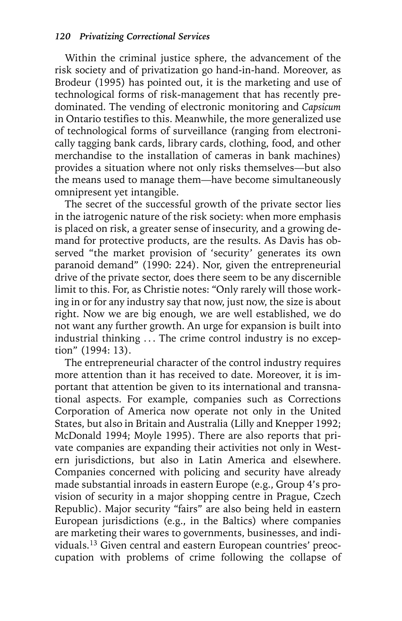Within the criminal justice sphere, the advancement of the risk society and of privatization go hand-in-hand. Moreover, as Brodeur (1995) has pointed out, it is the marketing and use of technological forms of risk-management that has recently predominated. The vending of electronic monitoring and *Capsicum* in Ontario testifies to this. Meanwhile, the more generalized use of technological forms of surveillance (ranging from electronically tagging bank cards, library cards, clothing, food, and other merchandise to the installation of cameras in bank machines) provides a situation where not only risks themselves—but also the means used to manage them—have become simultaneously omnipresent yet intangible.

The secret of the successful growth of the private sector lies in the iatrogenic nature of the risk society: when more emphasis is placed on risk, a greater sense of insecurity, and a growing demand for protective products, are the results. As Davis has observed "the market provision of 'security' generates its own paranoid demand" (1990: 224). Nor, given the entrepreneurial drive of the private sector, does there seem to be any discernible limit to this. For, as Christie notes: "Only rarely will those working in or for any industry say that now, just now, the size is about right. Now we are big enough, we are well established, we do not want any further growth. An urge for expansion is built into industrial thinking ... The crime control industry is no exception" (1994: 13).

The entrepreneurial character of the control industry requires more attention than it has received to date. Moreover, it is important that attention be given to its international and transnational aspects. For example, companies such as Corrections Corporation of America now operate not only in the United States, but also in Britain and Australia (Lilly and Knepper 1992; McDonald 1994; Moyle 1995). There are also reports that private companies are expanding their activities not only in Western jurisdictions, but also in Latin America and elsewhere. Companies concerned with policing and security have already made substantial inroads in eastern Europe (e.g., Group 4's provision of security in a major shopping centre in Prague, Czech Republic). Major security "fairs" are also being held in eastern European jurisdictions (e.g., in the Baltics) where companies are marketing their wares to governments, businesses, and individuals.13 Given central and eastern European countries' preoccupation with problems of crime following the collapse of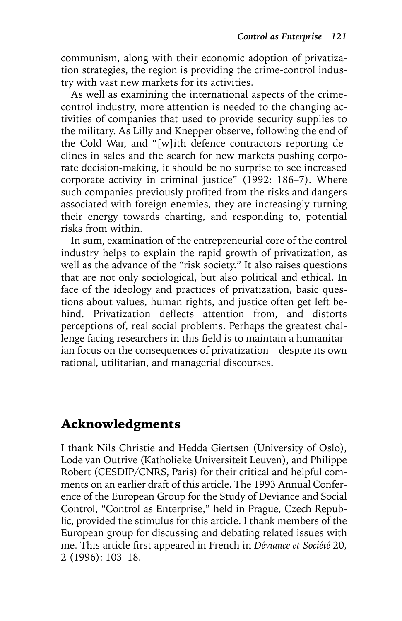communism, along with their economic adoption of privatization strategies, the region is providing the crime-control industry with vast new markets for its activities.

As well as examining the international aspects of the crimecontrol industry, more attention is needed to the changing activities of companies that used to provide security supplies to the military. As Lilly and Knepper observe, following the end of the Cold War, and "[w]ith defence contractors reporting declines in sales and the search for new markets pushing corporate decision-making, it should be no surprise to see increased corporate activity in criminal justice" (1992: 186–7). Where such companies previously profited from the risks and dangers associated with foreign enemies, they are increasingly turning their energy towards charting, and responding to, potential risks from within.

In sum, examination of the entrepreneurial core of the control industry helps to explain the rapid growth of privatization, as well as the advance of the "risk society." It also raises questions that are not only sociological, but also political and ethical. In face of the ideology and practices of privatization, basic questions about values, human rights, and justice often get left behind. Privatization deflects attention from, and distorts perceptions of, real social problems. Perhaps the greatest challenge facing researchers in this field is to maintain a humanitarian focus on the consequences of privatization—despite its own rational, utilitarian, and managerial discourses.

## Acknowledgments

I thank Nils Christie and Hedda Giertsen (University of Oslo), Lode van Outrive (Katholieke Universiteit Leuven), and Philippe Robert (CESDIP/CNRS, Paris) for their critical and helpful comments on an earlier draft of this article. The 1993 Annual Conference of the European Group for the Study of Deviance and Social Control, "Control as Enterprise," held in Prague, Czech Republic, provided the stimulus for this article. I thank members of the European group for discussing and debating related issues with me. This article first appeared in French in *Déviance et Société* 20, 2 (1996): 103–18.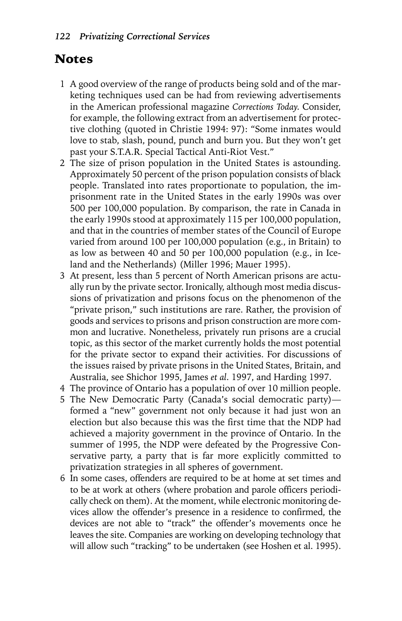### Notes

- 1 A good overview of the range of products being sold and of the marketing techniques used can be had from reviewing advertisements in the American professional magazine *Corrections Today*. Consider, for example, the following extract from an advertisement for protective clothing (quoted in Christie 1994: 97): "Some inmates would love to stab, slash, pound, punch and burn you. But they won't get past your S.T.A.R. Special Tactical Anti-Riot Vest."
- 2 The size of prison population in the United States is astounding. Approximately 50 percent of the prison population consists of black people. Translated into rates proportionate to population, the imprisonment rate in the United States in the early 1990s was over 500 per 100,000 population. By comparison, the rate in Canada in the early 1990s stood at approximately 115 per 100,000 population, and that in the countries of member states of the Council of Europe varied from around 100 per 100,000 population (e.g., in Britain) to as low as between 40 and 50 per 100,000 population (e.g., in Iceland and the Netherlands) (Miller 1996; Mauer 1995).
- 3 At present, less than 5 percent of North American prisons are actually run by the private sector. Ironically, although most media discussions of privatization and prisons focus on the phenomenon of the "private prison," such institutions are rare. Rather, the provision of goods and services to prisons and prison construction are more common and lucrative. Nonetheless, privately run prisons are a crucial topic, as this sector of the market currently holds the most potential for the private sector to expand their activities. For discussions of the issues raised by private prisons in the United States, Britain, and Australia, see Shichor 1995, James *et al*. 1997, and Harding 1997.
- 4 The province of Ontario has a population of over 10 million people.
- 5 The New Democratic Party (Canada's social democratic party) formed a "new" government not only because it had just won an election but also because this was the first time that the NDP had achieved a majority government in the province of Ontario. In the summer of 1995, the NDP were defeated by the Progressive Conservative party, a party that is far more explicitly committed to privatization strategies in all spheres of government.
- 6 In some cases, offenders are required to be at home at set times and to be at work at others (where probation and parole officers periodically check on them). At the moment, while electronic monitoring devices allow the offender's presence in a residence to confirmed, the devices are not able to "track" the offender's movements once he leaves the site. Companies are working on developing technology that will allow such "tracking" to be undertaken (see Hoshen et al. 1995).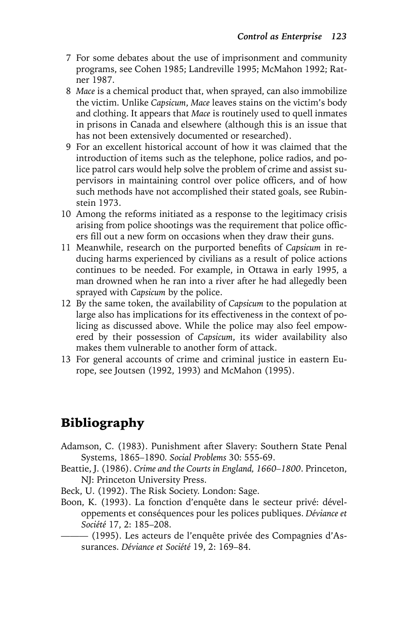- 7 For some debates about the use of imprisonment and community programs, see Cohen 1985; Landreville 1995; McMahon 1992; Ratner 1987.
- 8 *Mace* is a chemical product that, when sprayed, can also immobilize the victim. Unlike *Capsicum*, *Mace* leaves stains on the victim's body and clothing. It appears that *Mace* is routinely used to quell inmates in prisons in Canada and elsewhere (although this is an issue that has not been extensively documented or researched).
- 9 For an excellent historical account of how it was claimed that the introduction of items such as the telephone, police radios, and police patrol cars would help solve the problem of crime and assist supervisors in maintaining control over police officers, and of how such methods have not accomplished their stated goals, see Rubinstein 1973.
- 10 Among the reforms initiated as a response to the legitimacy crisis arising from police shootings was the requirement that police officers fill out a new form on occasions when they draw their guns.
- 11 Meanwhile, research on the purported benefits of *Capsicum* in reducing harms experienced by civilians as a result of police actions continues to be needed. For example, in Ottawa in early 1995, a man drowned when he ran into a river after he had allegedly been sprayed with *Capsicum* by the police.
- 12 By the same token, the availability of *Capsicum* to the population at large also has implications for its effectiveness in the context of policing as discussed above. While the police may also feel empowered by their possession of *Capsicum*, its wider availability also makes them vulnerable to another form of attack.
- 13 For general accounts of crime and criminal justice in eastern Europe, see Joutsen (1992, 1993) and McMahon (1995).

# Bibliography

- Adamson, C. (1983). Punishment after Slavery: Southern State Penal Systems, 1865–1890. *Social Problems* 30: 555-69.
- Beattie, J. (1986). *Crime and the Courts in England, 1660–1800*. Princeton, NJ: Princeton University Press.
- Beck, U. (1992). The Risk Society. London: Sage.
- Boon, K. (1993). La fonction d'enquête dans le secteur privé: développements et conséquences pour les polices publiques. *Déviance et Société* 17, 2: 185–208.
	- ——— (1995). Les acteurs de l'enquête privée des Compagnies d'Assurances. *Déviance et Société* 19, 2: 169–84.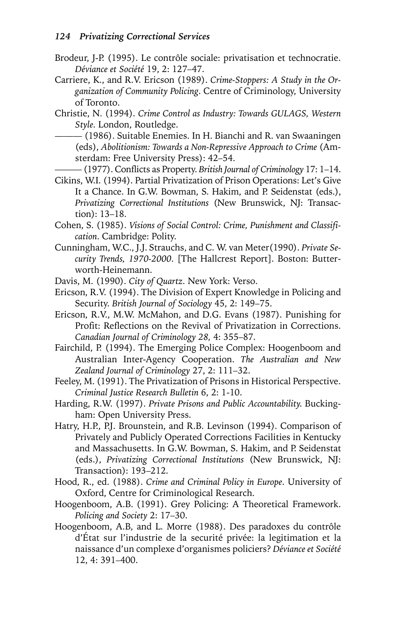- Brodeur, J-P. (1995). Le contrôle sociale: privatisation et technocratie. *Déviance et Société* 19, 2: 127–47.
- Carriere, K., and R.V. Ericson (1989). *Crime-Stoppers: A Study in the Organization of Community Policing*. Centre of Criminology, University of Toronto.
- Christie, N. (1994). *Crime Control as Industry: Towards GULAGS, Western Style*. London, Routledge.

——— (1986). Suitable Enemies. In H. Bianchi and R. van Swaaningen (eds), *Abolitionism: Towards a Non-Repressive Approach to Crime* (Amsterdam: Free University Press): 42–54.

——— (1977). Conflicts as Property. *British Journal of Criminology* 17: 1–14.

Cikins, W.I. (1994). Partial Privatization of Prison Operations: Let's Give It a Chance. In G.W. Bowman, S. Hakim, and P. Seidenstat (eds.), *Privatizing Correctional Institutions* (New Brunswick, NJ: Transaction): 13–18.

- Cohen, S. (1985). *Visions of Social Control: Crime, Punishment and Classification*. Cambridge: Polity.
- Cunningham, W.C., J.J. Strauchs, and C. W. van Meter(1990). *Private Security Trends, 1970-2000*. [The Hallcrest Report]. Boston: Butterworth-Heinemann.
- Davis, M. (1990). *City of Quartz*. New York: Verso.
- Ericson, R.V. (1994). The Division of Expert Knowledge in Policing and Security. *British Journal of Sociology* 45, 2: 149–75.

Ericson, R.V., M.W. McMahon, and D.G. Evans (1987). Punishing for Profit: Reflections on the Revival of Privatization in Corrections. *Canadian Journal of Criminology 28,* 4: 355–87.

Fairchild, P. (1994). The Emerging Police Complex: Hoogenboom and Australian Inter-Agency Cooperation. *The Australian and New Zealand Journal of Criminology* 27, 2: 111–32.

Feeley, M. (1991). The Privatization of Prisons in Historical Perspective. *Criminal Justice Research Bulletin* 6, 2: 1-10.

Harding, R.W. (1997). *Private Prisons and Public Accountability*. Buckingham: Open University Press.

- Hatry, H.P., P.J. Brounstein, and R.B. Levinson (1994). Comparison of Privately and Publicly Operated Corrections Facilities in Kentucky and Massachusetts. In G.W. Bowman, S. Hakim, and P. Seidenstat (eds.), *Privatizing Correctional Institutions* (New Brunswick, NJ: Transaction): 193–212.
- Hood, R., ed. (1988). *Crime and Criminal Policy in Europe*. University of Oxford, Centre for Criminological Research.
- Hoogenboom, A.B. (1991). Grey Policing: A Theoretical Framework. *Policing and Society* 2: 17–30.
- Hoogenboom, A.B, and L. Morre (1988). Des paradoxes du contrôle d'État sur l'industrie de la securité privée: la legitimation et la naissance d'un complexe d'organismes policiers? *Déviance et Société* 12, 4: 391–400.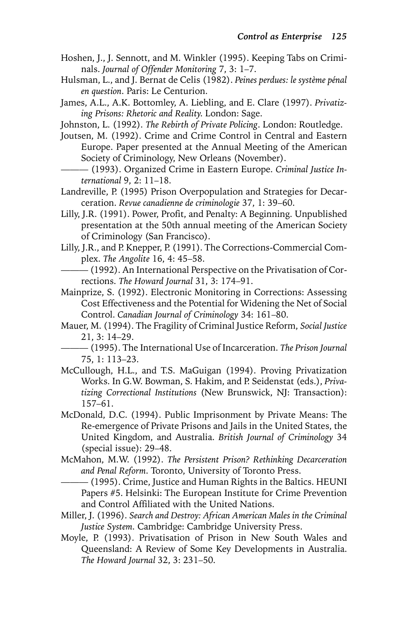- Hoshen, J., J. Sennott, and M. Winkler (1995). Keeping Tabs on Criminals. *Journal of Offender Monitoring* 7, 3: 1–7.
- Hulsman, L., and J. Bernat de Celis (1982). *Peines perdues: le système pénal en question*. Paris: Le Centurion.
- James, A.L., A.K. Bottomley, A. Liebling, and E. Clare (1997). *Privatizing Prisons: Rhetoric and Reality*. London: Sage.
- Johnston, L. (1992). *The Rebirth of Private Policing*. London: Routledge.
- Joutsen, M. (1992). Crime and Crime Control in Central and Eastern Europe. Paper presented at the Annual Meeting of the American Society of Criminology, New Orleans (November).
- ——— (1993). Organized Crime in Eastern Europe. *Criminal Justice International* 9, 2: 11–18.
- Landreville, P. (1995) Prison Overpopulation and Strategies for Decarceration. *Revue canadienne de criminologie* 37, 1: 39–60.
- Lilly, J.R. (1991). Power, Profit, and Penalty: A Beginning. Unpublished presentation at the 50th annual meeting of the American Society of Criminology (San Francisco).
- Lilly, J.R., and P. Knepper, P. (1991). The Corrections-Commercial Complex. *The Angolite* 16, 4: 45–58.
	- ——— (1992). An International Perspective on the Privatisation of Corrections. *The Howard Journal* 31, 3: 174–91.
- Mainprize, S. (1992). Electronic Monitoring in Corrections: Assessing Cost Effectiveness and the Potential for Widening the Net of Social Control. *Canadian Journal of Criminology* 34: 161–80.
- Mauer, M. (1994). The Fragility of Criminal Justice Reform, *Social Justice* 21, 3: 14–29.

- McCullough, H.L., and T.S. MaGuigan (1994). Proving Privatization Works. In G.W. Bowman, S. Hakim, and P. Seidenstat (eds.), *Privatizing Correctional Institutions* (New Brunswick, NJ: Transaction): 157–61.
- McDonald, D.C. (1994). Public Imprisonment by Private Means: The Re-emergence of Private Prisons and Jails in the United States, the United Kingdom, and Australia. *British Journal of Criminology* 34 (special issue): 29–48.
- McMahon, M.W. (1992). *The Persistent Prison? Rethinking Decarceration and Penal Reform*. Toronto, University of Toronto Press.
	- ——— (1995). Crime, Justice and Human Rights in the Baltics. HEUNI Papers #5. Helsinki: The European Institute for Crime Prevention and Control Affiliated with the United Nations.
- Miller, J. (1996). *Search and Destroy: African American Males in the Criminal Justice System*. Cambridge: Cambridge University Press.
- Moyle, P. (1993). Privatisation of Prison in New South Wales and Queensland: A Review of Some Key Developments in Australia. *The Howard Journal* 32, 3: 231–50.

<sup>——— (1995).</sup> The International Use of Incarceration. *The Prison Journal* 75, 1: 113–23.